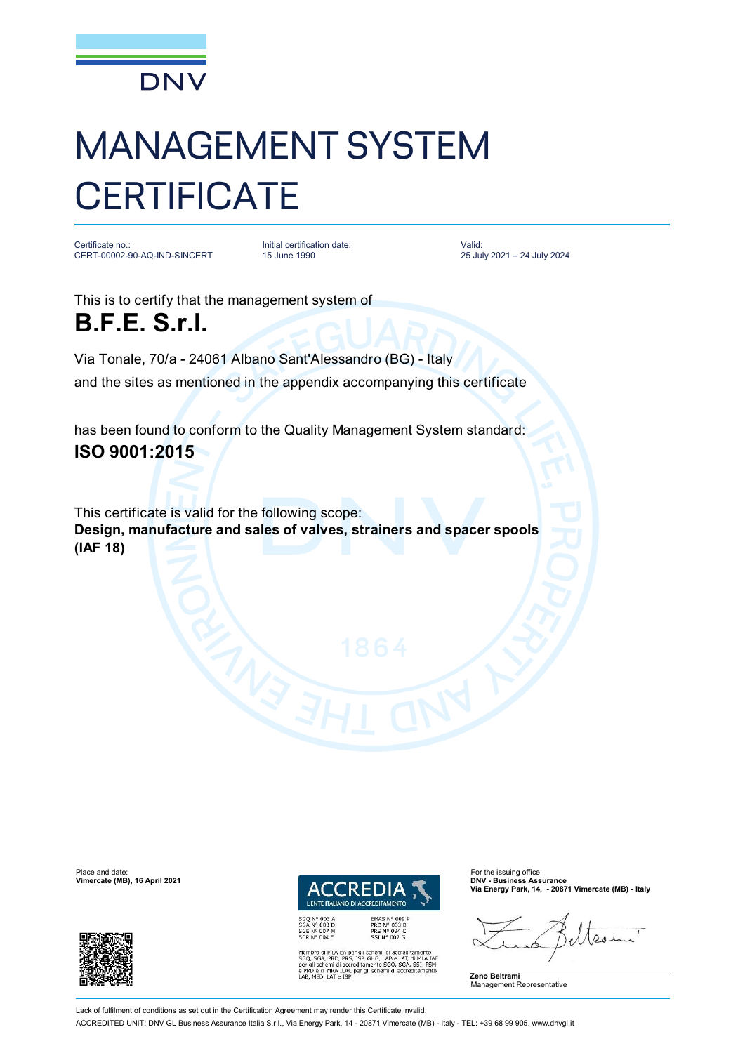

## MANAGEMENT SYSTEM **CERTIFICATE**

Certificate no.: CERT-00002-90-AQ-IND-SINCERT

Initial certification date: 15 June 1990

Valid: 25 July 2021 – 24 July 2024

This is to certify that the management system of **B.F.E. S.r.l.** 

Via Tonale, 70/a - 24061 Albano Sant'Alessandro (BG) - Italy and the sites as mentioned in the appendix accompanying this certificate

has been found to conform to the Quality Management System standard: **ISO 9001:2015**

This certificate is valid for the following scope: **Design, manufacture and sales of valves, strainers and spacer spools (IAF 18)**

Place and date: For the issuing office:<br> **Place and date:** For the issuing office: For the issuing office: For the issuing office:<br> **Place and Contract Contract Contract Contract Contract Contract Contract Contract Contrac Vimercate (MB), 16 April 2021** 



**EMAS N° 009<br>PRD N° 003 B<br>PRS N° 094 C<br>SSI N° 002 G** 

GHG, LAB e LAT, di MLA IA<br>nento SGQ, SGA, SSI, FSM<br>li schemi di accreditamento

**Via Energy Park, 14, - 20871 Vimercate (MB) - Italy**

**Zeno Beltrami** Management Representative

Lack of fulfilment of conditions as set out in the Certification Agreement may render this Certificate invalid.

ACCREDITED UNIT: DNV GL Business Assurance Italia S.r.l., Via Energy Park, 14 - 20871 Vimercate (MB) - Italy - TEL: +39 68 99 905. [www.dnvgl.it](http://www.dnvgl.it)